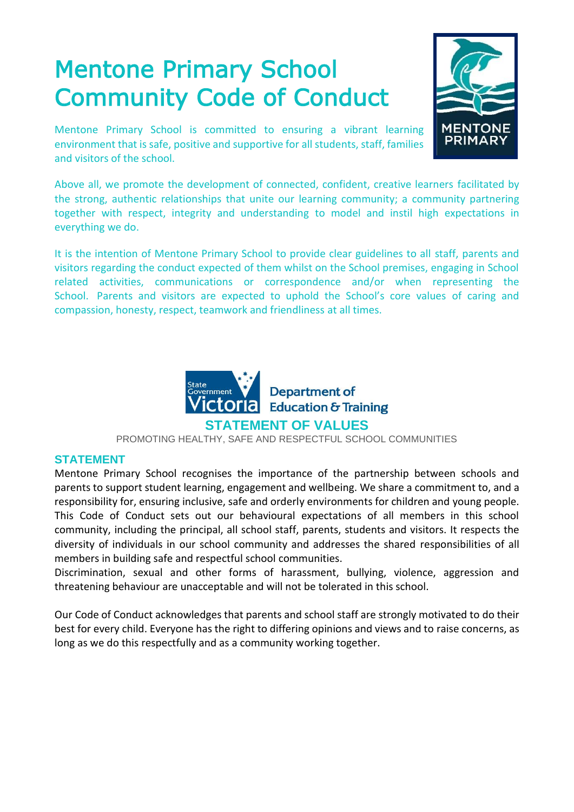# Mentone Primary School Community Code of Conduct

**MENTONE PRIMAR** 

Mentone Primary School is committed to ensuring a vibrant learning environment that is safe, positive and supportive for all students, staff, families and visitors of the school.

Above all, we promote the development of connected, confident, creative learners facilitated by the strong, authentic relationships that unite our learning community; a community partnering together with respect, integrity and understanding to model and instil high expectations in everything we do.

It is the intention of Mentone Primary School to provide clear guidelines to all staff, parents and visitors regarding the conduct expected of them whilst on the School premises, engaging in School related activities, communications or correspondence and/or when representing the School. Parents and visitors are expected to uphold the School's core values of caring and compassion, honesty, respect, teamwork and friendliness at all times.



PROMOTING HEALTHY, SAFE AND RESPECTFUL SCHOOL COMMUNITIES

# **STATEMENT**

Mentone Primary School recognises the importance of the partnership between schools and parents to support student learning, engagement and wellbeing. We share a commitment to, and a responsibility for, ensuring inclusive, safe and orderly environments for children and young people. This Code of Conduct sets out our behavioural expectations of all members in this school community, including the principal, all school staff, parents, students and visitors. It respects the diversity of individuals in our school community and addresses the shared responsibilities of all members in building safe and respectful school communities.

Discrimination, sexual and other forms of harassment, bullying, violence, aggression and threatening behaviour are unacceptable and will not be tolerated in this school.

Our Code of Conduct acknowledges that parents and school staff are strongly motivated to do their best for every child. Everyone has the right to differing opinions and views and to raise concerns, as long as we do this respectfully and as a community working together.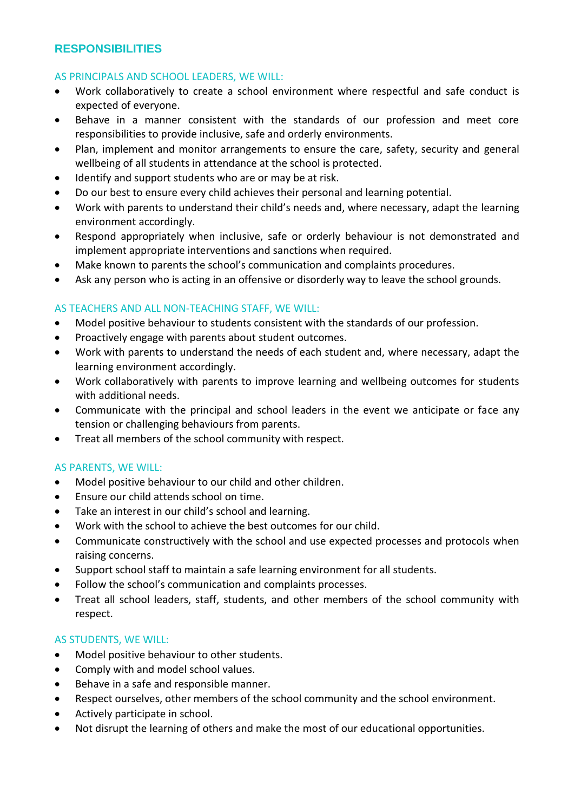# **RESPONSIBILITIES**

## AS PRINCIPALS AND SCHOOL LEADERS, WE WILL:

- Work collaboratively to create a school environment where respectful and safe conduct is expected of everyone.
- Behave in a manner consistent with the standards of our profession and meet core responsibilities to provide inclusive, safe and orderly environments.
- Plan, implement and monitor arrangements to ensure the care, safety, security and general wellbeing of all students in attendance at the school is protected.
- Identify and support students who are or may be at risk.
- Do our best to ensure every child achieves their personal and learning potential.
- Work with parents to understand their child's needs and, where necessary, adapt the learning environment accordingly.
- Respond appropriately when inclusive, safe or orderly behaviour is not demonstrated and implement appropriate interventions and sanctions when required.
- Make known to parents the school's communication and complaints procedures.
- Ask any person who is acting in an offensive or disorderly way to leave the school grounds.

# AS TEACHERS AND ALL NON-TEACHING STAFF, WE WILL:

- Model positive behaviour to students consistent with the standards of our profession.
- Proactively engage with parents about student outcomes.
- Work with parents to understand the needs of each student and, where necessary, adapt the learning environment accordingly.
- Work collaboratively with parents to improve learning and wellbeing outcomes for students with additional needs.
- Communicate with the principal and school leaders in the event we anticipate or face any tension or challenging behaviours from parents.
- Treat all members of the school community with respect.

#### AS PARENTS, WE WILL:

- Model positive behaviour to our child and other children.
- Ensure our child attends school on time.
- Take an interest in our child's school and learning.
- Work with the school to achieve the best outcomes for our child.
- Communicate constructively with the school and use expected processes and protocols when raising concerns.
- Support school staff to maintain a safe learning environment for all students.
- Follow the school's communication and complaints processes.
- Treat all school leaders, staff, students, and other members of the school community with respect.

#### AS STUDENTS, WE WILL:

- Model positive behaviour to other students.
- Comply with and model school values.
- Behave in a safe and responsible manner.
- Respect ourselves, other members of the school community and the school environment.
- Actively participate in school.
- Not disrupt the learning of others and make the most of our educational opportunities.